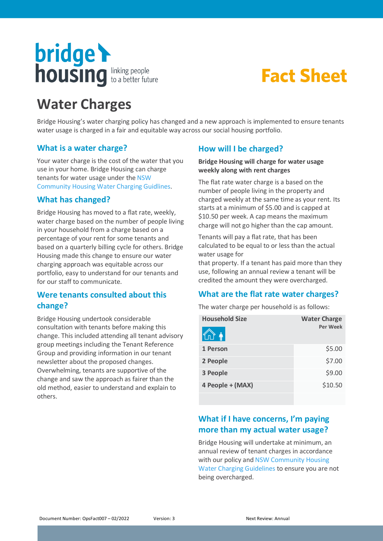

# **Fact Sheet**

# **Water Charges**

Bridge Housing's water charging policy has changed and a new approach is implemented to ensure tenants water usage is charged in a fair and equitable way across our social housing portfolio.

# **What is a water charge?**

Your water charge is the cost of the water that you use in your home. Bridge Housing can charge tenants for water usage under the NSW [Community Housing Water Charging Guidlines.](https://www.facs.nsw.gov.au/download?file=333281)

### **What has changed?**

Bridge Housing has moved to a flat rate, weekly, water charge based on the number of people living in your household from a charge based on a percentage of your rent for some tenants and based on a quarterly billing cycle for others. Bridge Housing made this change to ensure our water charging approach was equitable across our portfolio, easy to understand for our tenants and for our staff to communicate.

# **Were tenants consulted about this change?**

Bridge Housing undertook considerable consultation with tenants before making this change. This included attending all tenant advisory group meetings including the Tenant Reference Group and providing information in our tenant newsletter about the proposed changes. Overwhelming, tenants are supportive of the change and saw the approach as fairer than the old method, easier to understand and explain to others.

# **How will I be charged?**

#### **Bridge Housing will charge for water usage weekly along with rent charges**

The flat rate water charge is a based on the number of people living in the property and charged weekly at the same time as your rent. Its starts at a minimum of \$5.00 and is capped at \$10.50 per week. A cap means the maximum charge will not go higher than the cap amount.

Tenants will pay a flat rate, that has been calculated to be equal to or less than the actual water usage for

that property. If a tenant has paid more than they use, following an annual review a tenant will be credited the amount they were overcharged.

## **What are the flat rate water charges?**

The water charge per household is as follows:

| <b>Household Size</b> | <b>Water Charge</b> |
|-----------------------|---------------------|
| $\Lambda$             | Per Week            |
| 1 Person              | \$5.00              |
| 2 People              | \$7.00              |
| 3 People              | \$9.00              |
| 4 People + (MAX)      | \$10.50             |

# **What if I have concerns, I'm paying more than my actual water usage?**

Bridge Housing will undertake at minimum, an annual review of tenant charges in accordance with our policy and [NSW Community Housing](https://www.facs.nsw.gov.au/download?file=333281)  [Water Charging Guidelines](https://www.facs.nsw.gov.au/download?file=333281) to ensure you are not being overcharged.